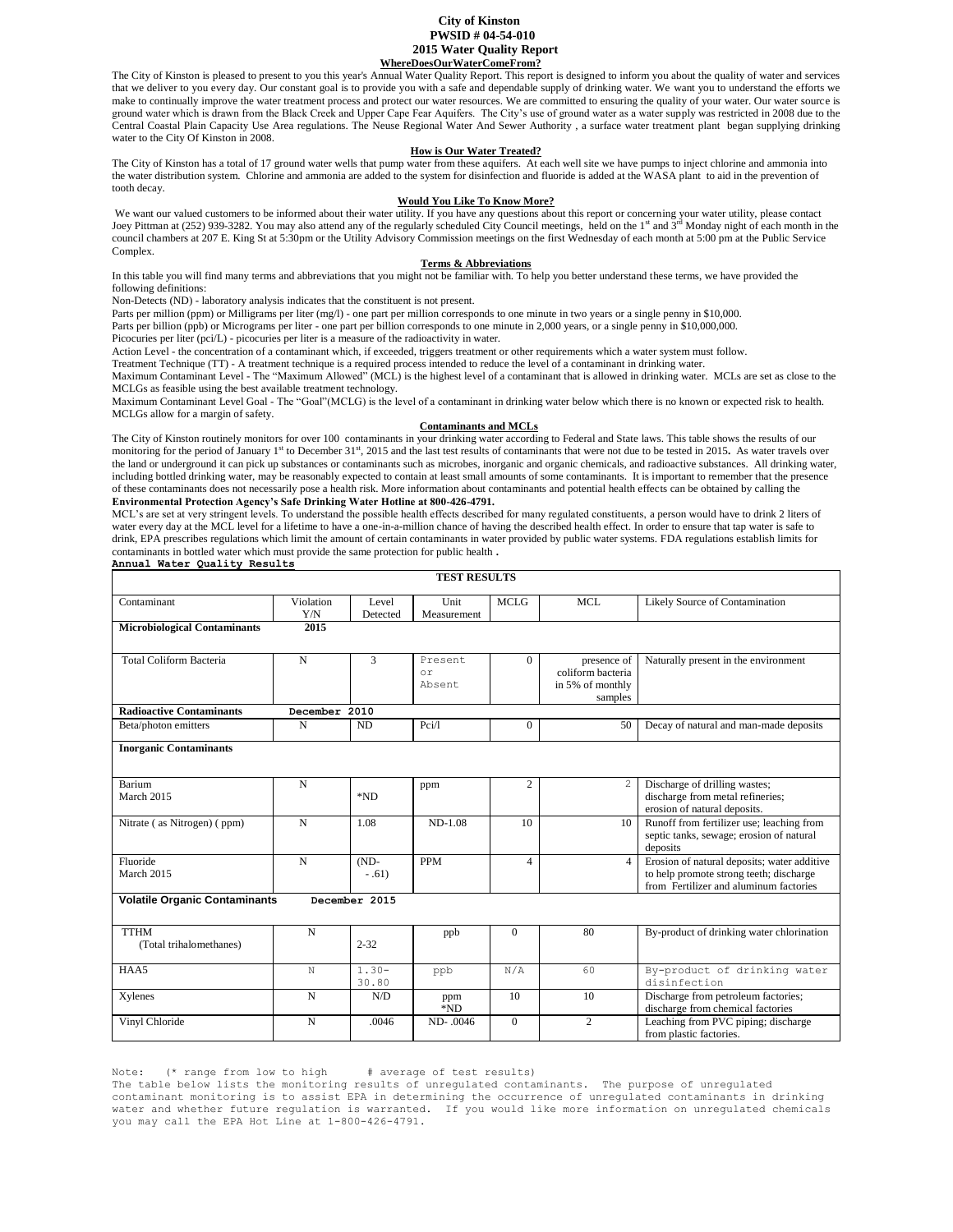### **City of Kinston PWSID # 04-54-010 2015 Water Quality Report WhereDoesOurWaterComeFrom?**

The City of Kinston is pleased to present to you this year's Annual Water Quality Report. This report is designed to inform you about the quality of water and services that we deliver to you every day. Our constant goal is to provide you with a safe and dependable supply of drinking water. We want you to understand the efforts we make to continually improve the water treatment process and protect our water resources. We are committed to ensuring the quality of your water. Our water source is ground water which is drawn from the Black Creek and Upper Cape Fear Aquifers. The City's use of ground water as a water supply was restricted in 2008 due to the Central Coastal Plain Capacity Use Area regulations. The Neuse Regional Water And Sewer Authority , a surface water treatment plant began supplying drinking water to the City Of Kinston in 2008.

#### **How is Our Water Treated?**

The City of Kinston has a total of 17 ground water wells that pump water from these aquifers. At each well site we have pumps to inject chlorine and ammonia into the water distribution system. Chlorine and ammonia are added to the system for disinfection and fluoride is added at the WASA plant to aid in the prevention of tooth decay.

#### **Would You Like To Know More?**

We want our valued customers to be informed about their water utility. If you have any questions about this report or concerning your water utility, please contact Joey Pittman at (252) 939-3282. You may also attend any of the regularly scheduled City Council meetings, held on the 1<sup>st</sup> and 3<sup>rd</sup> Monday night of each month in the council chambers at 207 E. King St at 5:30pm or the Utility Advisory Commission meetings on the first Wednesday of each month at 5:00 pm at the Public Service Complex.

### **Terms & Abbreviations**

In this table you will find many terms and abbreviations that you might not be familiar with. To help you better understand these terms, we have provided the following definitions:

Non-Detects (ND) - laboratory analysis indicates that the constituent is not present.

Parts per million (ppm) or Milligrams per liter (mg/l) - one part per million corresponds to one minute in two years or a single penny in \$10,000.

Parts per billion (ppb) or Micrograms per liter - one part per billion corresponds to one minute in 2,000 years, or a single penny in \$10,000,000.

Picocuries per liter (pci/L) - picocuries per liter is a measure of the radioactivity in water.

Action Level - the concentration of a contaminant which, if exceeded, triggers treatment or other requirements which a water system must follow.

Treatment Technique (TT) - A treatment technique is a required process intended to reduce the level of a contaminant in drinking water.

Maximum Contaminant Level - The "Maximum Allowed" (MCL) is the highest level of a contaminant that is allowed in drinking water. MCLs are set as close to the MCLGs as feasible using the best available treatment technology.

Maximum Contaminant Level Goal - The "Goal"(MCLG) is the level of a contaminant in drinking water below which there is no known or expected risk to health. MCLGs allow for a margin of safety.

#### **Contaminants and MCLs**

The City of Kinston routinely monitors for over 100 contaminants in your drinking water according to Federal and State laws. This table shows the results of our monitoring for the period of January 1<sup>st</sup> to December 31<sup>st</sup>, 2015 and the last test results of contaminants that were not due to be tested in 2015. As water travels over the land or underground it can pick up substances or contaminants such as microbes, inorganic and organic chemicals, and radioactive substances. All drinking water, including bottled drinking water, may be reasonably expected to contain at least small amounts of some contaminants. It is important to remember that the presence of these contaminants does not necessarily pose a health risk. More information about contaminants and potential health effects can be obtained by calling the **Environmental Protection Agency's Safe Drinking Water Hotline at 800-426-4791.**

MCL's are set at very stringent levels. To understand the possible health effects described for many regulated constituents, a person would have to drink 2 liters of water every day at the MCL level for a lifetime to have a one-in-a-million chance of having the described health effect. In order to ensure that tap water is safe to drink, EPA prescribes regulations which limit the amount of certain contaminants in water provided by public water systems. FDA regulations establish limits for contaminants in bottled water which must provide the same protection for public health **. Annual Water Quality Results** 

| <b>TEST RESULTS</b>                    |                  |                    |                          |                |                                                                 |                                                                                                                                  |
|----------------------------------------|------------------|--------------------|--------------------------|----------------|-----------------------------------------------------------------|----------------------------------------------------------------------------------------------------------------------------------|
| Contaminant                            | Violation<br>Y/N | Level<br>Detected  | Unit<br>Measurement      | <b>MCLG</b>    | <b>MCL</b>                                                      | Likely Source of Contamination                                                                                                   |
| <b>Microbiological Contaminants</b>    | 2015             |                    |                          |                |                                                                 |                                                                                                                                  |
| <b>Total Coliform Bacteria</b>         | $\mathbf N$      | 3                  | Present.<br>or<br>Absent | $\Omega$       | presence of<br>coliform bacteria<br>in 5% of monthly<br>samples | Naturally present in the environment                                                                                             |
| <b>Radioactive Contaminants</b>        | December 2010    |                    |                          |                |                                                                 |                                                                                                                                  |
| Beta/photon emitters                   | $\mathbf N$      | <b>ND</b>          | Pci/l                    | $\Omega$       | 50                                                              | Decay of natural and man-made deposits                                                                                           |
| <b>Inorganic Contaminants</b>          |                  |                    |                          |                |                                                                 |                                                                                                                                  |
| Barium<br>March 2015                   | $\mathbf N$      | *ND                | ppm                      | $\overline{c}$ | 2                                                               | Discharge of drilling wastes;<br>discharge from metal refineries;<br>erosion of natural deposits.                                |
| Nitrate (as Nitrogen) (ppm)            | N                | 1.08               | $ND-1.08$                | 10             | 10                                                              | Runoff from fertilizer use; leaching from<br>septic tanks, sewage; erosion of natural<br>deposits                                |
| Fluoride<br>March 2015                 | $\mathbf N$      | $(ND -$<br>$-.61)$ | <b>PPM</b>               | $\overline{4}$ | $\overline{4}$                                                  | Erosion of natural deposits; water additive<br>to help promote strong teeth; discharge<br>from Fertilizer and aluminum factories |
| <b>Volatile Organic Contaminants</b>   |                  | December 2015      |                          |                |                                                                 |                                                                                                                                  |
| <b>TTHM</b><br>(Total trihalomethanes) | N                | $2 - 32$           | ppb                      | $\Omega$       | 80                                                              | By-product of drinking water chlorination                                                                                        |
| HAA5                                   | N                | $1.30 -$<br>30.80  | ppb                      | N/A            | 60                                                              | By-product of drinking water<br>disinfection                                                                                     |
| Xylenes                                | N                | N/D                | ppm<br>*ND               | 10             | 10                                                              | Discharge from petroleum factories;<br>discharge from chemical factories                                                         |
| Vinyl Chloride                         | N                | .0046              | ND-.0046                 | $\Omega$       | $\overline{2}$                                                  | Leaching from PVC piping; discharge<br>from plastic factories.                                                                   |

Note: (\* range from low to high # average of test results)

The table below lists the monitoring results of unregulated contaminants. The purpose of unregulated contaminant monitoring is to assist EPA in determining the occurrence of unregulated contaminants in drinking water and whether future regulation is warranted. If you would like more information on unregulated chemicals you may call the EPA Hot Line at 1-800-426-4791.